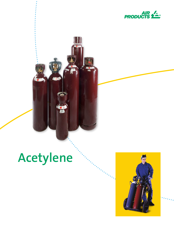

# **Acetylene**

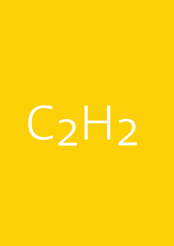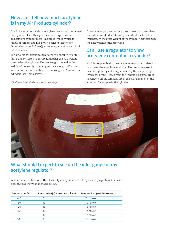# **How can I tell how much acetylene is in my Air Products cylinder?**

Due to its hazardous nature, acetylene cannot be compressed **x** into cylinders like other gases such as oxygen. Inside an acetylene cylinder there is a porous "mass" which is highly absorbent and filled with a solvent (acetone or dimethylformamide (DMF)). Acetylene gas is then dissolved into this solvent.

The amount of solvent in each cylinder is checked prior to filling and corrected to ensure it matches the tare weight stamped on the cylinder. The tare weight is equal to the weight of the empty cylinder plus the valve, guard\*, mass and the solvent. We identify this tare weight as 'Tare' on our cylinders (see photo below).

The only way you can see for yourself how much acetylene is inside your cylinder is to weigh it and subtract the tare weight from the gross weight of the cylinder, this then gives the nett weight of the acetylene.

## **Can I use a regulator to view acetylene content in a cylinder?**

No. It is not possible<sup>1</sup> to use a cylinder regulator to view how much acetylene gas is in a cylinder. The pressure present in an acetylene cylinder is generated by the acetylene gas which has been released from the solvent. This pressure is dependent on the temperature of the cylinder and not the amount of acetylene in the cylinder.

*\*DE: does not include the removable dome cap.*



### **What should I expect to see on the inlet gauge of my acetylene regulator?**

When connected to a correctly filled acetylene cylinder, the inlet pressure gauge should indicate a pressure as shown in the table below:

| Temperature <sup>o</sup> C | Pressure Bar(g) – acetone solvent | Pressure Bar(g) – DMF solvent |
|----------------------------|-----------------------------------|-------------------------------|
| $+40$                      | 21                                | To follow                     |
| $+30$                      | 19                                | To follow                     |
| $+20$                      | 15                                | To follow                     |
| $+10$                      | 10.5                              | To follow                     |
| $\Omega$                   | 10                                | To follow                     |
| $-10$                      | 8                                 | To follow                     |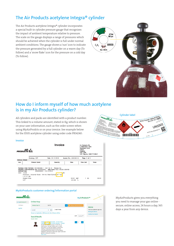# **The Air Products acetylene Integra® cylinder**

**hdhdhj** The Air Products acetylene Integra® cylinder incorporates a special built-in cylinder pressure gauge that recognises the impact of ambient temperature relative to pressure. The scale on the gauge displays a range of pressures which should be achieved when the cylinder is full under normal ambient conditions. The gauge shows a 'sun' icon to indicate the pressure generated by a full cylinder on a warm day (To follow) and a 'snow flake' icon for the pressure on a cold day (To follow).



# **How do I inform myself of how much acetylene is in my Air Products cylinder?**

**x** All cylinders and packs are identified with a product number. This linked to a volume amount, stated in Kg, which is shown on your user information, such as the order screen when using MyAirProdcts or on your invoice. See example below for the X50S acetylene cylinder using order code PR14240:



#### **Invoice**



#### **MyAirProducts customer ordering/information portal**



MyAirProducts gives you everything you need to manage your gas online secure, online access, 24 hours a day, 365 days a year from any device.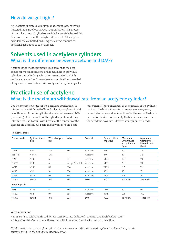# **How do we get right?**

.<br>Air Products operates a quality management system which is accredited part of our ISO9001 accreditation. This process of control ensures all cylinders are filled accurately by weight. Our processes ensure the weigh scales used to fill acetylene cylinders are calibrated, ensuring the correct amount of acetylene gas added to each cylinder.

# **Solvents used in acetylene cylinders What is the difference between acetone and DMF?**

Acetone is the most commonly used solvent, is the best choice for most applications and is available in individual cylinders and cylinder packs. DMF is selected when high purity acetylene, free from solvent contamination, is needed at high withdrawal rates. DMF is only used in cylinder packs.

# **Practical use of acetylene What is the maximum withdrawal rate from an acetylene cylinder?**

Use the correct flow rate for the acetylene application. To minimize the withdrawal of liquid solvent, acetylene should be withdrawn from the cylinder at a rate not to exceed 1/10 (one-tenth) of the capacity of the cylinder per hour during intermittent use. For full withdrawal of the contents of the cylinder on a continuous basis, the flow rate should be no

more than 1/15 (one-fifteenth) of the capacity of the cylinder per hour. Too high a flow rate causes solvent carry-over, flame disturbance and reduces the effectiveness of flashback prevention devices. Alternately, flashback may occur when the acetylene flow rate is lower than equipment needs.

| Product code  | Cylinder /pack<br>size | Weight of gas<br>(kg) | Valve           | Solvent    | Gaseous litres<br>of gas [2] | Maximum<br>withdrawal<br>- continuous<br>(lpm) | Maximum<br>withdrawal-<br>intermittent<br>(lpm) |
|---------------|------------------------|-----------------------|-----------------|------------|------------------------------|------------------------------------------------|-------------------------------------------------|
| 14228         | <b>X10S</b>            | 1.75                  | BS4             | Acetone    | 1591                         | 1.7                                            | 2.6                                             |
| 465456        | X10SH                  | 1.75                  |                 | Acetone    | 1591                         | 1.7                                            | 2.6                                             |
| 14232         | X30S                   | 6                     | BS4             | Acetone    | 5455                         | 6.0                                            | 9.0                                             |
| 123805        | X30s                   | 6                     | Integra® outlet | Acetone    | 5455                         | 6.0                                            | 9.0                                             |
| 14240         | <b>X50S</b>            | 8.7                   | BS4             | Acetone    | 7909                         | 8.7                                            | 13.1                                            |
| 14243         | X51S                   | 10                    | BS4             | Acetone    | 9091                         | 10.1                                           | 15.1                                            |
| 14244         | <b>X58S</b>            | 9.4                   | BS4             | Acetone    | 8545                         | 9.4                                            | 14.2                                            |
| 140325        | 12X51S                 | 102                   | BS4             | <b>DMF</b> | 92727                        | To follow                                      | To follow                                       |
| Premier grade |                        |                       |                 |            |                              |                                                |                                                 |
| 27311         | X30S                   | 6                     | BS4             | Acetone    | 5455                         | 6.0                                            | 9.0                                             |
| 185697        | X51S                   | 9.4                   | BS4             | Acetone    | 8545                         | 9.4                                            | 14.2                                            |
| 181859        | 12X51S                 | 102                   | BS4             | <b>DMF</b> | 92727                        | To follow                                      | To follow                                       |

#### **Industrial grade**

#### **Valve information**

• BS4: 5/8" BSP left hand thread for use with separate dedicated regulator and flash back arrestor.

• Integra® outlet: Quick connection outlet with integrated flash back arrestor connection.

*NB: As can be seen, the size of the cylinder/pack does not directly corelate to the cylinder contents, therefore, the contents in Kg – is the primary point of reference.*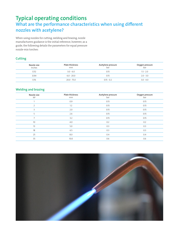# **Typical operating conditions What are the performance characteristics when using different nozzles with acetylene?**

When using nozzles for cutting, welding and brazing, nozzle manufacturers guidance is the initial reference, however, as a guide, the following details the parameters for equal pressure nozzle-mix torches:

#### **Cutting**

| Nozzle size<br>Inches | <b>Plate thickness</b><br>mm | Acetylene pressure<br>bar | Oxygen pressure<br>bar |
|-----------------------|------------------------------|---------------------------|------------------------|
| 1/32                  | $3.0 - 6.0$                  | 0.15                      | $1.5 - 2.0$            |
| 3/64                  | $6.0 - 20.0$                 | 0.15                      | $2.0 - 3.0$            |
| 1/16                  | $20.0 - 75.0$                | $0.15 - 0.2$              | $3.0 - 4.0$            |

#### **Welding and brazing**

| Nozzle size<br>$N^{\circ}$ | Plate thickness<br>mm | Acetylene pressure<br>bar | Oxygen pressure<br>bar |
|----------------------------|-----------------------|---------------------------|------------------------|
|                            | 0.9                   | 0.15                      | 0.15                   |
| $\overline{2}$             | 1.2                   | 0.15                      | 0.15                   |
| 3                          | 2.0                   | 0.15                      | 0.15                   |
| 5                          | 2.6                   | 0.15                      | 0.15                   |
| $\overline{7}$             | 3.2                   | 0.15                      | 0.15                   |
| 10                         | 4.0                   | 0.2                       | 0.2                    |
| 13                         | 5.0                   | 0.3                       | 0.3                    |
| 18                         | 6.5                   | 0.3                       | 0.3                    |
| 25                         | 8.0                   | 0.4                       | 0.4                    |
| 35                         | 10.0                  | 0.6                       | 0.6                    |

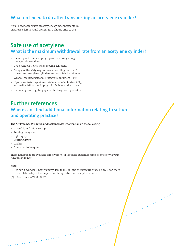## **What do I need to do after transporting an acetylene cylinder?**

If you need to transport an acetylene cylinder horizontally, ensure it is left to stand upright for 24 hours prior to use.

# **Safe use of acetylene What is the maximum withdrawal rate from an acetylene cylinder?**

- Secure cylinders in an upright position during storage, transportation and use.
- Use a suitable trolley when moving cylinders.
- Comply with safety requirements regarding the use of oxygen and acetylene cylinders and associated equipment.
- Wear all required personal protective equipment (PPE).
- If you need to transport an acetylene cylinder horizontally, ensure it is left to stand upright for 24 hours prior to use.
- Use an approved lighting up and shutting down procedure

# **Further references Where can I find additional information relating to set-up and operating practice?**

**x** The Air Products Welders Handbook includes information on the following:

- Assembly and initial set-up
- Purging the system
- Lighting up
- Shutting down
- Quality
- Operating techniques

These handbooks are available directly from Air Products' customer service centre or via your Account Manager.

#### Notes:

- [1] When a cylinder is nearly empty (less than 1 kg) and the pressure drops below 6 bar, there is a relationship between pressure, temperature and acetylene content.
- $[2]$  Based on Nm<sup>3</sup>/1000 @ 15°C

 $\mathcal{L}_{\mathcal{A}}$  , where the contract of the contract of the contract of the contract of the contract of the contract of the contract of the contract of the contract of the contract of the contract of the contract of the co